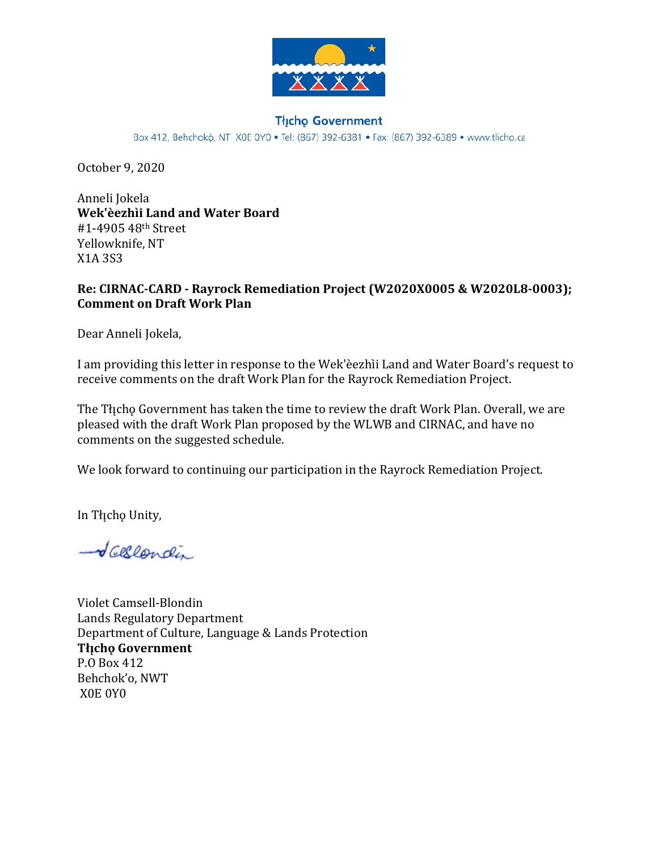

#### **Thcho Government**

Box 412, Behchokò, NT X0E 0Y0 · Tel: (867) 392-6381 · Fax: (867) 392-6389 · www.tlicho.ca

October 9, 2020

Anneli Jokela **Wek'èezhìi Land and Water Board** #1-4905 48th Street Yellowknife, NT X1A 3S3

#### **Re: CIRNAC-CARD - Rayrock Remediation Project (W2020X0005 & W2020L8-0003); Comment on Draft Work Plan**

Dear Anneli Jokela,

I am providing this letter in response to the Wek'èezhìi Land and Water Board's request to receive comments on the draft Work Plan for the Rayrock Remediation Project.

The Thicho Government has taken the time to review the draft Work Plan. Overall, we are pleased with the draft Work Plan proposed by the WLWB and CIRNAC, and have no comments on the suggested schedule.

We look forward to continuing our participation in the Rayrock Remediation Project.

In Tłįchę Unity,

-Vallendin

Violet Camsell-Blondin Lands Regulatory Department Department of Culture, Language & Lands Protection **Tłı̨chǫ Government** P.O Box 412 Behchok'o, NWT X0E 0Y0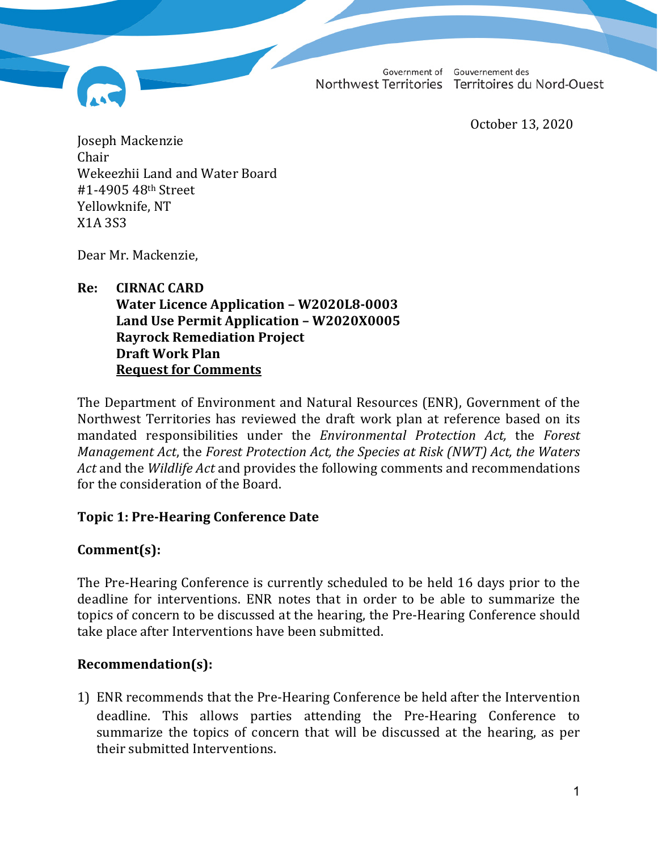Northwest Territories Territoires du Nord-Ouest

Government of Gouvernement des

October 13, 2020

Joseph Mackenzie Chair Wekeezhii Land and Water Board #1-4905 48th Street Yellowknife, NT X1A 3S3

Dear Mr. Mackenzie,

#### **Re: CIRNAC CARD Water Licence Application – W2020L8-0003 Land Use Permit Application – W2020X0005 Rayrock Remediation Project Draft Work Plan Request for Comments**

The Department of Environment and Natural Resources (ENR), Government of the Northwest Territories has reviewed the draft work plan at reference based on its mandated responsibilities under the *Environmental Protection Act,* the *Forest Management Act*, the *Forest Protection Act, the Species at Risk (NWT) Act, the Waters Act* and the *Wildlife Act* and provides the following comments and recommendations for the consideration of the Board.

## **Topic 1: Pre-Hearing Conference Date**

# **Comment(s):**

The Pre-Hearing Conference is currently scheduled to be held 16 days prior to the deadline for interventions. ENR notes that in order to be able to summarize the topics of concern to be discussed at the hearing, the Pre-Hearing Conference should take place after Interventions have been submitted.

## **Recommendation(s):**

1) ENR recommends that the Pre-Hearing Conference be held after the Intervention deadline. This allows parties attending the Pre-Hearing Conference to summarize the topics of concern that will be discussed at the hearing, as per their submitted Interventions.